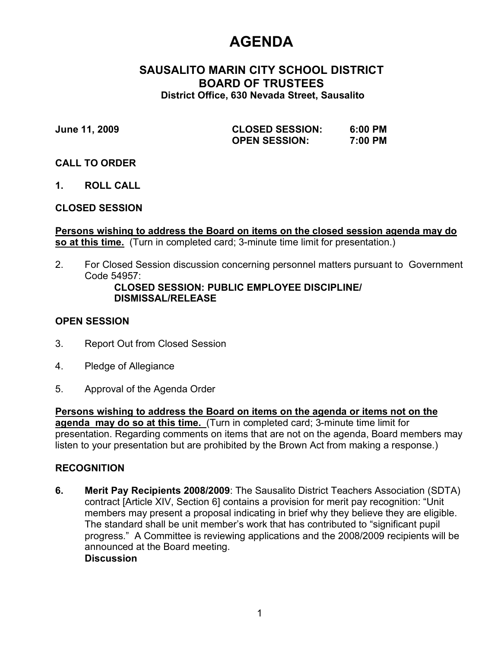# **AGENDA**

## **SAUSALITO MARIN CITY SCHOOL DISTRICT BOARD OF TRUSTEES District Office, 630 Nevada Street, Sausalito**

**June 11, 2009 CLOSED SESSION: 6:00 PM OPEN SESSION:** 

### **CALL TO ORDER**

**1. ROLL CALL**

# **CLOSED SESSION**

**Persons wishing to address the Board on items on the closed session agenda may do so at this time.** (Turn in completed card; 3-minute time limit for presentation.)

2. For Closed Session discussion concerning personnel matters pursuant to Government Code 54957:

### **CLOSED SESSION: PUBLIC EMPLOYEE DISCIPLINE/ DISMISSAL/RELEASE**

## **OPEN SESSION**

- 3. Report Out from Closed Session
- 4. Pledge of Allegiance
- 5. Approval of the Agenda Order

**Persons wishing to address the Board on items on the agenda or items not on the agenda may do so at this time.** (Turn in completed card; 3-minute time limit for presentation. Regarding comments on items that are not on the agenda, Board members may listen to your presentation but are prohibited by the Brown Act from making a response.)

# **RECOGNITION**

**6. Merit Pay Recipients 2008/2009**: The Sausalito District Teachers Association (SDTA) contract [Article XIV, Section 6] contains a provision for merit pay recognition: "Unit members may present a proposal indicating in brief why they believe they are eligible. The standard shall be unit member's work that has contributed to "significant pupil progress." A Committee is reviewing applications and the 2008/2009 recipients will be announced at the Board meeting. **Discussion**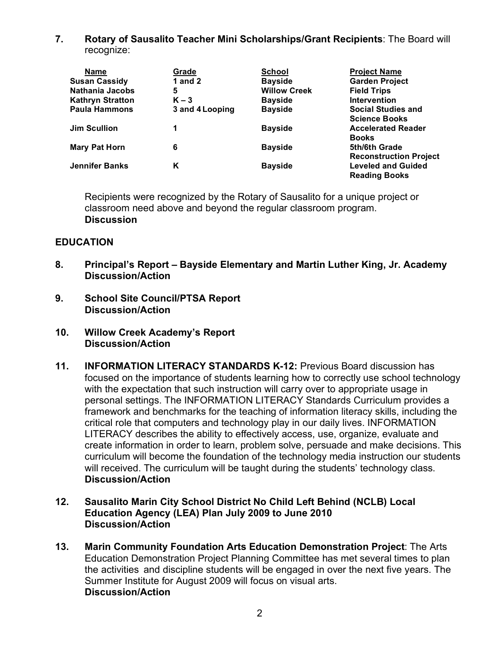**7. Rotary of Sausalito Teacher Mini Scholarships/Grant Recipients**: The Board will recognize:

| <b>Name</b>             | Grade           | <b>School</b>       | <b>Project Name</b>           |
|-------------------------|-----------------|---------------------|-------------------------------|
| <b>Susan Cassidy</b>    | 1 and $2$       | <b>Bayside</b>      | <b>Garden Project</b>         |
| <b>Nathania Jacobs</b>  | 5               | <b>Willow Creek</b> | <b>Field Trips</b>            |
| <b>Kathryn Stratton</b> | $K - 3$         | <b>Bayside</b>      | <b>Intervention</b>           |
| <b>Paula Hammons</b>    | 3 and 4 Looping | <b>Bayside</b>      | <b>Social Studies and</b>     |
|                         |                 |                     | <b>Science Books</b>          |
| Jim Scullion            |                 | <b>Bayside</b>      | <b>Accelerated Reader</b>     |
|                         |                 |                     | <b>Books</b>                  |
| <b>Mary Pat Horn</b>    | 6               | <b>Bayside</b>      | 5th/6th Grade                 |
|                         |                 |                     | <b>Reconstruction Project</b> |
| <b>Jennifer Banks</b>   | Κ               | <b>Bayside</b>      | <b>Leveled and Guided</b>     |
|                         |                 |                     | <b>Reading Books</b>          |

Recipients were recognized by the Rotary of Sausalito for a unique project or classroom need above and beyond the regular classroom program. **Discussion**

## **EDUCATION**

- **8. Principal's Report Bayside Elementary and Martin Luther King, Jr. Academy Discussion/Action**
- **9. School Site Council/PTSA Report Discussion/Action**
- **10. Willow Creek Academy's Report Discussion/Action**
- **11. INFORMATION LITERACY STANDARDS K-12:** Previous Board discussion has focused on the importance of students learning how to correctly use school technology with the expectation that such instruction will carry over to appropriate usage in personal settings. The INFORMATION LITERACY Standards Curriculum provides a framework and benchmarks for the teaching of information literacy skills, including the critical role that computers and technology play in our daily lives. INFORMATION LITERACY describes the ability to effectively access, use, organize, evaluate and create information in order to learn, problem solve, persuade and make decisions. This curriculum will become the foundation of the technology media instruction our students will received. The curriculum will be taught during the students' technology class. **Discussion/Action**
- **12. Sausalito Marin City School District No Child Left Behind (NCLB) Local Education Agency (LEA) Plan July 2009 to June 2010 Discussion/Action**
- **13. Marin Community Foundation Arts Education Demonstration Project**: The Arts Education Demonstration Project Planning Committee has met several times to plan the activities and discipline students will be engaged in over the next five years. The Summer Institute for August 2009 will focus on visual arts. **Discussion/Action**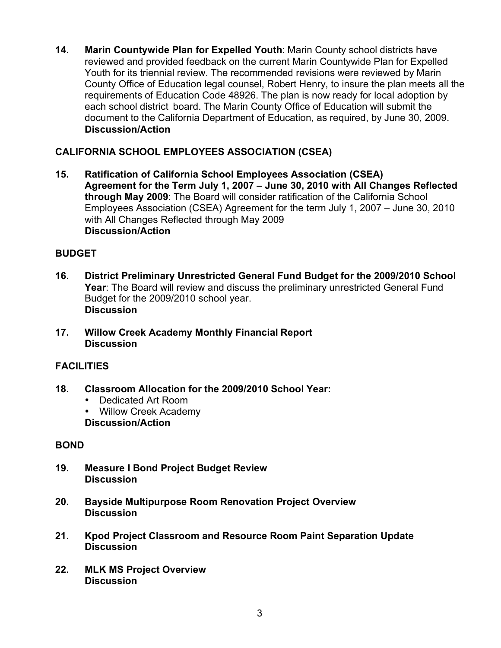**14. Marin Countywide Plan for Expelled Youth**: Marin County school districts have reviewed and provided feedback on the current Marin Countywide Plan for Expelled Youth for its triennial review. The recommended revisions were reviewed by Marin County Office of Education legal counsel, Robert Henry, to insure the plan meets all the requirements of Education Code 48926. The plan is now ready for local adoption by each school district board. The Marin County Office of Education will submit the document to the California Department of Education, as required, by June 30, 2009. **Discussion/Action**

# **CALIFORNIA SCHOOL EMPLOYEES ASSOCIATION (CSEA)**

**15. Ratification of California School Employees Association (CSEA) Agreement for the Term July 1, 2007 – June 30, 2010 with All Changes Reflected through May 2009**: The Board will consider ratification of the California School Employees Association (CSEA) Agreement for the term July 1, 2007 – June 30, 2010 with All Changes Reflected through May 2009 **Discussion/Action** 

# **BUDGET**

- **16. District Preliminary Unrestricted General Fund Budget for the 2009/2010 School Year**: The Board will review and discuss the preliminary unrestricted General Fund Budget for the 2009/2010 school year. **Discussion**
- **17. Willow Creek Academy Monthly Financial Report Discussion**

# **FACILITIES**

- **18. Classroom Allocation for the 2009/2010 School Year:** 
	- Dedicated Art Room
	- Willow Creek Academy **Discussion/Action**

# **BOND**

- **19. Measure I Bond Project Budget Review Discussion**
- **20. Bayside Multipurpose Room Renovation Project Overview Discussion**
- **21. Kpod Project Classroom and Resource Room Paint Separation Update Discussion**
- **22. MLK MS Project Overview Discussion**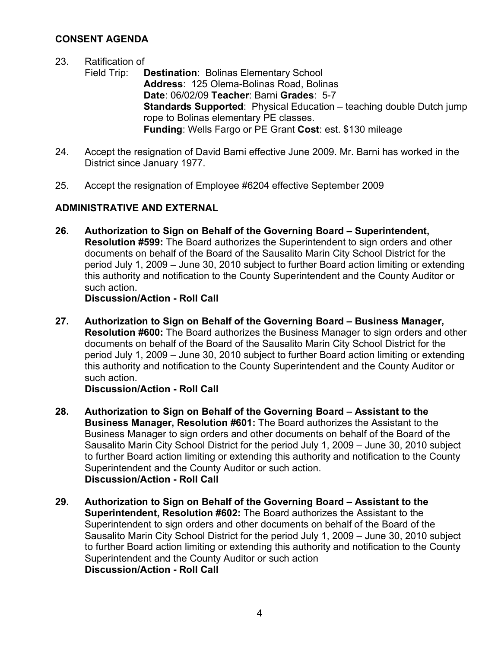# **CONSENT AGENDA**

### 23. Ratification of

- Field Trip: **Destination**: Bolinas Elementary School **Address**: 125 Olema-Bolinas Road, Bolinas **Date**: 06/02/09 **Teacher**: Barni **Grades**: 5-7 **Standards Supported**: Physical Education – teaching double Dutch jump rope to Bolinas elementary PE classes. **Funding**: Wells Fargo or PE Grant **Cost**: est. \$130 mileage
- 24. Accept the resignation of David Barni effective June 2009. Mr. Barni has worked in the District since January 1977.
- 25. Accept the resignation of Employee #6204 effective September 2009

# **ADMINISTRATIVE AND EXTERNAL**

**26. Authorization to Sign on Behalf of the Governing Board – Superintendent, Resolution #599:** The Board authorizes the Superintendent to sign orders and other documents on behalf of the Board of the Sausalito Marin City School District for the period July 1, 2009 – June 30, 2010 subject to further Board action limiting or extending this authority and notification to the County Superintendent and the County Auditor or such action.

**Discussion/Action - Roll Call**

**27. Authorization to Sign on Behalf of the Governing Board – Business Manager, Resolution #600:** The Board authorizes the Business Manager to sign orders and other documents on behalf of the Board of the Sausalito Marin City School District for the period July 1, 2009 – June 30, 2010 subject to further Board action limiting or extending this authority and notification to the County Superintendent and the County Auditor or such action.

### **Discussion/Action - Roll Call**

- **28. Authorization to Sign on Behalf of the Governing Board Assistant to the Business Manager, Resolution #601:** The Board authorizes the Assistant to the Business Manager to sign orders and other documents on behalf of the Board of the Sausalito Marin City School District for the period July 1, 2009 – June 30, 2010 subject to further Board action limiting or extending this authority and notification to the County Superintendent and the County Auditor or such action. **Discussion/Action - Roll Call**
- **29. Authorization to Sign on Behalf of the Governing Board Assistant to the Superintendent, Resolution #602:** The Board authorizes the Assistant to the Superintendent to sign orders and other documents on behalf of the Board of the Sausalito Marin City School District for the period July 1, 2009 – June 30, 2010 subject to further Board action limiting or extending this authority and notification to the County Superintendent and the County Auditor or such action **Discussion/Action - Roll Call**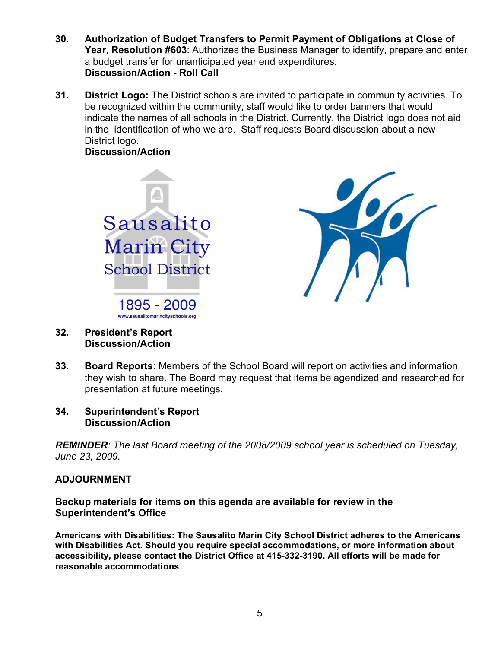- **30. Authorization of Budget Transfers to Permit Payment of Obligations at Close of Year**, **Resolution #603**: Authorizes the Business Manager to identify, prepare and enter a budget transfer for unanticipated year end expenditures. **Discussion/Action - Roll Call**
- **31. District Logo:** The District schools are invited to participate in community activities. To be recognized within the community, staff would like to order banners that would indicate the names of all schools in the District. Currently, the District logo does not aid in the identification of who we are. Staff requests Board discussion about a new District logo.

**Discussion/Action** 





- **32. President's Report Discussion/Action**
- **33. Board Reports**: Members of the School Board will report on activities and information they wish to share. The Board may request that items be agendized and researched for presentation at future meetings.
- **34. Superintendent's Report Discussion/Action**

*REMINDER: The last Board meeting of the 2008/2009 school year is scheduled on Tuesday, June 23, 2009.* 

### **ADJOURNMENT**

**Backup materials for items on this agenda are available for review in the Superintendent's Office**

**Americans with Disabilities: The Sausalito Marin City School District adheres to the Americans with Disabilities Act. Should you require special accommodations, or more information about accessibility, please contact the District Office at 415-332-3190. All efforts will be made for reasonable accommodations**